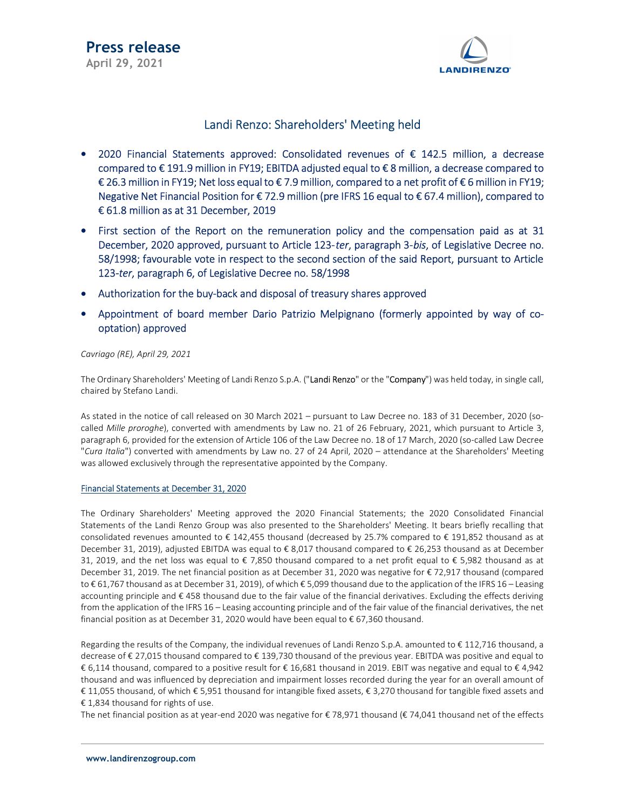

### Landi Renzo: Shareholders' Meeting held

- 2020 Financial Statements approved: Consolidated revenues of € 142.5 million, a decrease compared to € 191.9 million in FY19; EBITDA adjusted equal to € 8 million, a decrease compared to € 26.3 million in FY19; Net loss equal to € 7.9 million, compared to a net profit of € 6 million in FY19; Negative Net Financial Position for € 72.9 million (pre IFRS 16 equal to € 67.4 million), compared to € 61.8 million as at 31 December, 2019
- First section of the Report on the remuneration policy and the compensation paid as at 31 December, 2020 approved, pursuant to Article 123-ter, paragraph 3-bis, of Legislative Decree no. 58/1998; favourable vote in respect to the second section of the said Report, pursuant to Article 123-ter, paragraph 6, of Legislative Decree no. 58/1998
- Authorization for the buy-back and disposal of treasury shares approved
- Appointment of board member Dario Patrizio Melpignano (formerly appointed by way of cooptation) approved

Cavriago (RE), April 29, 2021

The Ordinary Shareholders' Meeting of Landi Renzo S.p.A. ("Landi Renzo" or the "Company") was held today, in single call, chaired by Stefano Landi.

As stated in the notice of call released on 30 March 2021 – pursuant to Law Decree no. 183 of 31 December, 2020 (socalled Mille proroghe), converted with amendments by Law no. 21 of 26 February, 2021, which pursuant to Article 3, paragraph 6, provided for the extension of Article 106 of the Law Decree no. 18 of 17 March, 2020 (so-called Law Decree "Cura Italia") converted with amendments by Law no. 27 of 24 April, 2020 - attendance at the Shareholders' Meeting was allowed exclusively through the representative appointed by the Company.

#### Financial Statements at December 31, 2020

The Ordinary Shareholders' Meeting approved the 2020 Financial Statements; the 2020 Consolidated Financial Statements of the Landi Renzo Group was also presented to the Shareholders' Meeting. It bears briefly recalling that consolidated revenues amounted to € 142,455 thousand (decreased by 25.7% compared to € 191,852 thousand as at December 31, 2019), adjusted EBITDA was equal to € 8,017 thousand compared to € 26,253 thousand as at December 31, 2019, and the net loss was equal to € 7,850 thousand compared to a net profit equal to € 5,982 thousand as at December 31, 2019. The net financial position as at December 31, 2020 was negative for € 72,917 thousand (compared to € 61,767 thousand as at December 31, 2019), of which € 5,099 thousand due to the application of the IFRS 16 – Leasing accounting principle and € 458 thousand due to the fair value of the financial derivatives. Excluding the effects deriving from the application of the IFRS 16 – Leasing accounting principle and of the fair value of the financial derivatives, the net financial position as at December 31, 2020 would have been equal to € 67,360 thousand.

Regarding the results of the Company, the individual revenues of Landi Renzo S.p.A. amounted to € 112,716 thousand, a decrease of € 27,015 thousand compared to € 139,730 thousand of the previous year. EBITDA was positive and equal to € 6,114 thousand, compared to a positive result for € 16,681 thousand in 2019. EBIT was negative and equal to € 4,942 thousand and was influenced by depreciation and impairment losses recorded during the year for an overall amount of € 11,055 thousand, of which € 5,951 thousand for intangible fixed assets, € 3,270 thousand for tangible fixed assets and € 1,834 thousand for rights of use.

The net financial position as at year-end 2020 was negative for € 78,971 thousand (€ 74,041 thousand net of the effects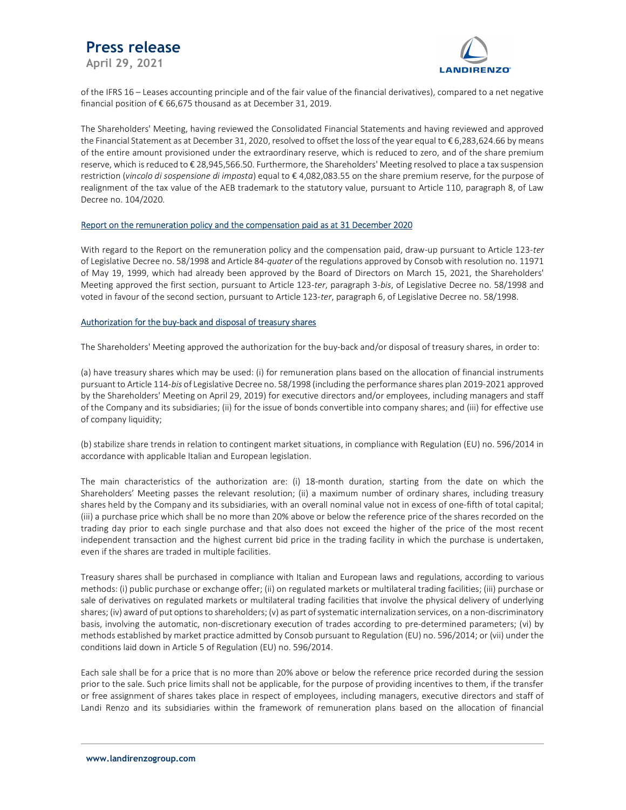## Press release

April 29, 2021



of the IFRS 16 – Leases accounting principle and of the fair value of the financial derivatives), compared to a net negative financial position of  $\epsilon$  66,675 thousand as at December 31, 2019.

The Shareholders' Meeting, having reviewed the Consolidated Financial Statements and having reviewed and approved the Financial Statement as at December 31, 2020, resolved to offset the loss of the year equal to € 6,283,624.66 by means of the entire amount provisioned under the extraordinary reserve, which is reduced to zero, and of the share premium reserve, which is reduced to € 28,945,566.50. Furthermore, the Shareholders' Meeting resolved to place a tax suspension restriction (vincolo di sospensione di imposta) equal to € 4,082,083.55 on the share premium reserve, for the purpose of realignment of the tax value of the AEB trademark to the statutory value, pursuant to Article 110, paragraph 8, of Law Decree no. 104/2020.

#### Report on the remuneration policy and the compensation paid as at 31 December 2020

With regard to the Report on the remuneration policy and the compensation paid, draw-up pursuant to Article 123-ter of Legislative Decree no. 58/1998 and Article 84-quater of the regulations approved by Consob with resolution no. 11971 of May 19, 1999, which had already been approved by the Board of Directors on March 15, 2021, the Shareholders' Meeting approved the first section, pursuant to Article 123-ter, paragraph 3-bis, of Legislative Decree no. 58/1998 and voted in favour of the second section, pursuant to Article 123-ter, paragraph 6, of Legislative Decree no. 58/1998.

### Authorization for the buy-back and disposal of treasury shares

The Shareholders' Meeting approved the authorization for the buy-back and/or disposal of treasury shares, in order to:

(a) have treasury shares which may be used: (i) for remuneration plans based on the allocation of financial instruments pursuant to Article 114-bis of Legislative Decree no. 58/1998 (including the performance shares plan 2019-2021 approved by the Shareholders' Meeting on April 29, 2019) for executive directors and/or employees, including managers and staff of the Company and its subsidiaries; (ii) for the issue of bonds convertible into company shares; and (iii) for effective use of company liquidity;

(b) stabilize share trends in relation to contingent market situations, in compliance with Regulation (EU) no. 596/2014 in accordance with applicable Italian and European legislation.

The main characteristics of the authorization are: (i) 18-month duration, starting from the date on which the Shareholders' Meeting passes the relevant resolution; (ii) a maximum number of ordinary shares, including treasury shares held by the Company and its subsidiaries, with an overall nominal value not in excess of one-fifth of total capital; (iii) a purchase price which shall be no more than 20% above or below the reference price of the shares recorded on the trading day prior to each single purchase and that also does not exceed the higher of the price of the most recent independent transaction and the highest current bid price in the trading facility in which the purchase is undertaken, even if the shares are traded in multiple facilities.

Treasury shares shall be purchased in compliance with Italian and European laws and regulations, according to various methods: (i) public purchase or exchange offer; (ii) on regulated markets or multilateral trading facilities; (iii) purchase or sale of derivatives on regulated markets or multilateral trading facilities that involve the physical delivery of underlying shares; (iv) award of put options to shareholders; (v) as part of systematic internalization services, on a non-discriminatory basis, involving the automatic, non-discretionary execution of trades according to pre-determined parameters; (vi) by methods established by market practice admitted by Consob pursuant to Regulation (EU) no. 596/2014; or (vii) under the conditions laid down in Article 5 of Regulation (EU) no. 596/2014.

Each sale shall be for a price that is no more than 20% above or below the reference price recorded during the session prior to the sale. Such price limits shall not be applicable, for the purpose of providing incentives to them, if the transfer or free assignment of shares takes place in respect of employees, including managers, executive directors and staff of Landi Renzo and its subsidiaries within the framework of remuneration plans based on the allocation of financial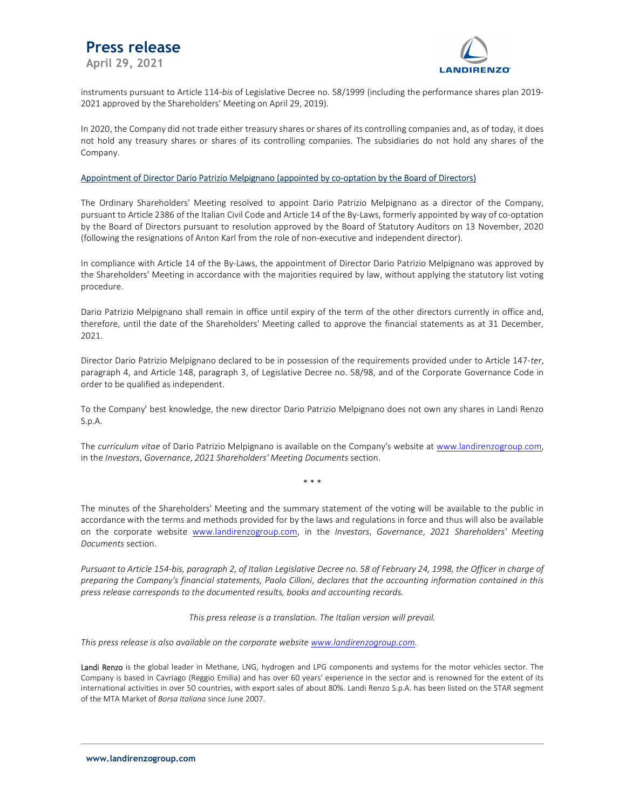# Press release

April 29, 2021



instruments pursuant to Article 114-bis of Legislative Decree no. 58/1999 (including the performance shares plan 2019- 2021 approved by the Shareholders' Meeting on April 29, 2019).

In 2020, the Company did not trade either treasury shares or shares of its controlling companies and, as of today, it does not hold any treasury shares or shares of its controlling companies. The subsidiaries do not hold any shares of the Company.

#### Appointment of Director Dario Patrizio Melpignano (appointed by co-optation by the Board of Directors)

The Ordinary Shareholders' Meeting resolved to appoint Dario Patrizio Melpignano as a director of the Company, pursuant to Article 2386 of the Italian Civil Code and Article 14 of the By-Laws, formerly appointed by way of co-optation by the Board of Directors pursuant to resolution approved by the Board of Statutory Auditors on 13 November, 2020 (following the resignations of Anton Karl from the role of non-executive and independent director).

In compliance with Article 14 of the By-Laws, the appointment of Director Dario Patrizio Melpignano was approved by the Shareholders' Meeting in accordance with the majorities required by law, without applying the statutory list voting procedure.

Dario Patrizio Melpignano shall remain in office until expiry of the term of the other directors currently in office and, therefore, until the date of the Shareholders' Meeting called to approve the financial statements as at 31 December, 2021.

Director Dario Patrizio Melpignano declared to be in possession of the requirements provided under to Article 147-ter, paragraph 4, and Article 148, paragraph 3, of Legislative Decree no. 58/98, and of the Corporate Governance Code in order to be qualified as independent.

To the Company' best knowledge, the new director Dario Patrizio Melpignano does not own any shares in Landi Renzo S.p.A.

The curriculum vitae of Dario Patrizio Melpignano is available on the Company's website at www.landirenzogroup.com, in the Investors, Governance, 2021 Shareholders' Meeting Documents section.

\* \* \*

The minutes of the Shareholders' Meeting and the summary statement of the voting will be available to the public in accordance with the terms and methods provided for by the laws and regulations in force and thus will also be available on the corporate website www.landirenzogroup.com, in the Investors, Governance, 2021 Shareholders' Meeting Documents section.

Pursuant to Article 154-bis, paragraph 2, of Italian Legislative Decree no. 58 of February 24, 1998, the Officer in charge of preparing the Company's financial statements, Paolo Cilloni, declares that the accounting information contained in this press release corresponds to the documented results, books and accounting records.

This press release is a translation. The Italian version will prevail.

This press release is also available on the corporate website www.landirenzogroup.com.

Landi Renzo is the global leader in Methane, LNG, hydrogen and LPG components and systems for the motor vehicles sector. The Company is based in Cavriago (Reggio Emilia) and has over 60 years' experience in the sector and is renowned for the extent of its international activities in over 50 countries, with export sales of about 80%. Landi Renzo S.p.A. has been listed on the STAR segment of the MTA Market of Borsa Italiana since June 2007.